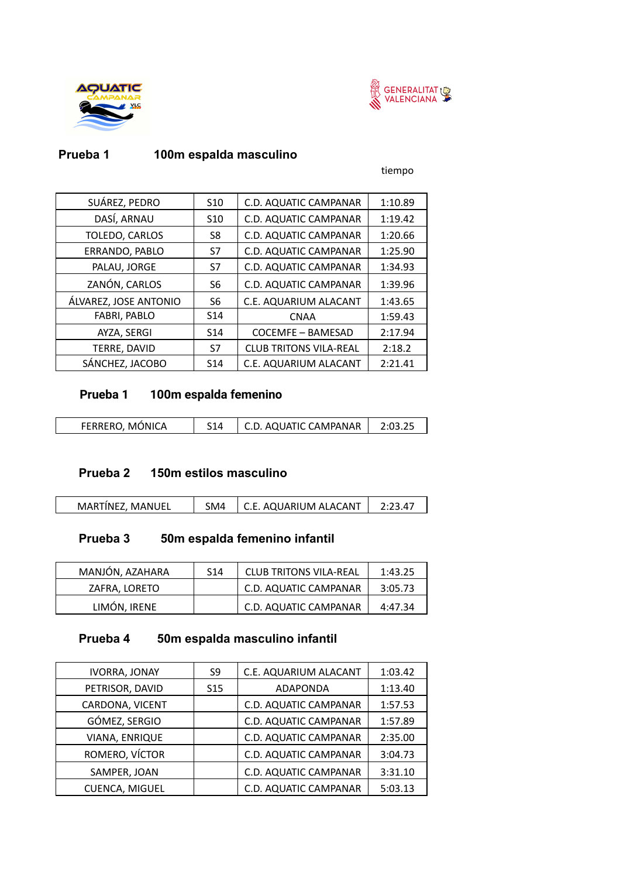



### **Prueba 1 100m espalda masculino**

tiempo

| SUÁREZ, PEDRO         | S <sub>10</sub> | C.D. AQUATIC CAMPANAR         | 1:10.89 |
|-----------------------|-----------------|-------------------------------|---------|
| DASÍ, ARNAU           | S <sub>10</sub> | C.D. AQUATIC CAMPANAR         | 1:19.42 |
| TOLEDO, CARLOS        | S8              | C.D. AQUATIC CAMPANAR         | 1:20.66 |
| ERRANDO, PABLO        | S7              | C.D. AQUATIC CAMPANAR         | 1:25.90 |
| PALAU, JORGE          | S7              | C.D. AQUATIC CAMPANAR         | 1:34.93 |
| ZANÓN, CARLOS         | S6              | C.D. AQUATIC CAMPANAR         | 1:39.96 |
| ÁLVAREZ, JOSE ANTONIO | S6              | C.E. AQUARIUM ALACANT         | 1:43.65 |
| <b>FABRI, PABLO</b>   | S <sub>14</sub> | <b>CNAA</b>                   | 1:59.43 |
| AYZA, SERGI           | S <sub>14</sub> | COCEMFE - BAMESAD             | 2:17.94 |
| TERRE, DAVID          | S7              | <b>CLUB TRITONS VILA-REAL</b> | 2:18.2  |
| SÁNCHEZ, JACOBO       | S <sub>14</sub> | C.E. AQUARIUM ALACANT         | 2:21.41 |

### **Prueba 1 100m espalda femenino**

|  | FERRERO, MÓNICA | S <sub>14</sub> | C.D. AQUATIC CAMPANAR |  |
|--|-----------------|-----------------|-----------------------|--|
|--|-----------------|-----------------|-----------------------|--|

#### **Prueba 2 150m estilos masculino**

|  | MARTINEZ. MANUEL | <b>SM4</b> | C.E. AQUARIUM ALACANT |  |
|--|------------------|------------|-----------------------|--|
|--|------------------|------------|-----------------------|--|

## **Prueba 3 50m espalda femenino infantil**

| MANJÓN, AZAHARA | S <sub>14</sub> | <b>CLUB TRITONS VILA-REAL</b> | 1:43.25 |
|-----------------|-----------------|-------------------------------|---------|
| ZAFRA, LORETO   |                 | <b>C.D. AQUATIC CAMPANAR</b>  | 3:05.73 |
| LIMÓN, IRENE    |                 | C.D. AQUATIC CAMPANAR         | 4:47.34 |

### **Prueba 4 50m espalda masculino infantil**

| <b>IVORRA, JONAY</b>  | S9              | C.E. AQUARIUM ALACANT | 1:03.42 |
|-----------------------|-----------------|-----------------------|---------|
| PETRISOR, DAVID       | S <sub>15</sub> | <b>ADAPONDA</b>       | 1:13.40 |
| CARDONA, VICENT       |                 | C.D. AQUATIC CAMPANAR | 1:57.53 |
| GÓMEZ, SERGIO         |                 | C.D. AQUATIC CAMPANAR | 1:57.89 |
| VIANA, ENRIQUE        |                 | C.D. AQUATIC CAMPANAR | 2:35.00 |
| ROMERO, VÍCTOR        |                 | C.D. AQUATIC CAMPANAR | 3:04.73 |
| SAMPER, JOAN          |                 | C.D. AQUATIC CAMPANAR | 3:31.10 |
| <b>CUENCA, MIGUEL</b> |                 | C.D. AQUATIC CAMPANAR | 5:03.13 |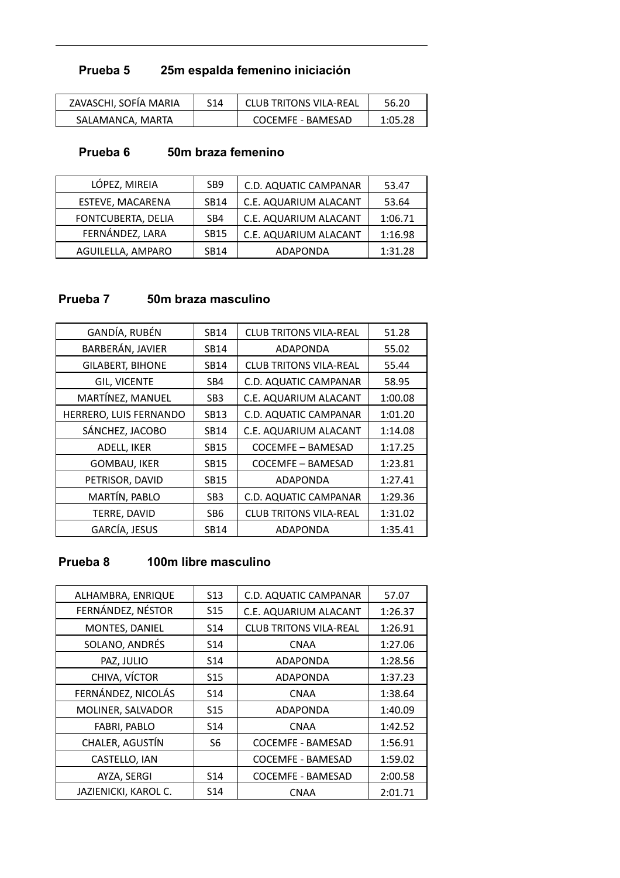# **Prueba 5 25m espalda femenino iniciación**

| ZAVASCHI, SOFÍA MARIA | S <sub>14</sub> | CLUB TRITONS VILA-REAL | 56.20   |
|-----------------------|-----------------|------------------------|---------|
| SALAMANCA, MARTA      |                 | COCEMFE - BAMESAD      | 1:05.28 |

#### **Prueba 6 50m braza femenino**

| LÓPEZ, MIREIA           | SB <sub>9</sub> | C.D. AQUATIC CAMPANAR | 53.47   |
|-------------------------|-----------------|-----------------------|---------|
| <b>ESTEVE, MACARENA</b> | <b>SB14</b>     | C.E. AQUARIUM ALACANT | 53.64   |
| FONTCUBERTA, DELIA      | SB <sub>4</sub> | C.E. AQUARIUM ALACANT | 1:06.71 |
| FERNÁNDEZ, LARA         | <b>SB15</b>     | C.E. AQUARIUM ALACANT | 1:16.98 |
| AGUILELLA, AMPARO       | <b>SB14</b>     | <b>ADAPONDA</b>       | 1:31.28 |

## **Prueba 7 50m braza masculino**

| GANDÍA, RUBÉN           | <b>SB14</b>     | <b>CLUB TRITONS VILA-REAL</b> | 51.28   |
|-------------------------|-----------------|-------------------------------|---------|
| BARBERÁN, JAVIER        | <b>SB14</b>     | ADAPONDA                      | 55.02   |
| <b>GILABERT, BIHONE</b> | <b>SB14</b>     | <b>CLUB TRITONS VILA-REAL</b> | 55.44   |
| <b>GIL, VICENTE</b>     | SB4             | C.D. AQUATIC CAMPANAR         | 58.95   |
| MARTÍNEZ, MANUEL        | SB <sub>3</sub> | C.E. AQUARIUM ALACANT         | 1:00.08 |
| HERRERO, LUIS FERNANDO  | <b>SB13</b>     | C.D. AQUATIC CAMPANAR         | 1:01.20 |
| SÁNCHEZ, JACOBO         | SB14            | C.E. AQUARIUM ALACANT         | 1:14.08 |
| ADELL, IKER             | <b>SB15</b>     | COCEMFE - BAMESAD             | 1:17.25 |
| <b>GOMBAU, IKER</b>     | <b>SB15</b>     | COCEMFE - BAMESAD             | 1:23.81 |
| PETRISOR, DAVID         | <b>SB15</b>     | ADAPONDA                      | 1:27.41 |
| MARTÍN, PABLO           | SB <sub>3</sub> | C.D. AQUATIC CAMPANAR         | 1:29.36 |
| TERRE, DAVID            | SB <sub>6</sub> | <b>CLUB TRITONS VILA-REAL</b> | 1:31.02 |
| <b>GARCÍA, JESUS</b>    | <b>SB14</b>     | ADAPONDA                      | 1:35.41 |

### **Prueba 8 100m libre masculino**

| ALHAMBRA, ENRIQUE    | S <sub>13</sub> | C.D. AQUATIC CAMPANAR         | 57.07   |
|----------------------|-----------------|-------------------------------|---------|
| FERNÁNDEZ, NÉSTOR    | S <sub>15</sub> | C.E. AQUARIUM ALACANT         | 1:26.37 |
| MONTES, DANIEL       | S14             | <b>CLUB TRITONS VILA-REAL</b> | 1:26.91 |
| SOLANO, ANDRÉS       | S <sub>14</sub> | <b>CNAA</b>                   | 1:27.06 |
| PAZ, JULIO           | S14             | <b>ADAPONDA</b>               | 1:28.56 |
| CHIVA, VÍCTOR        | S <sub>15</sub> | <b>ADAPONDA</b>               | 1:37.23 |
| FERNÁNDEZ, NICOLÁS   | S <sub>14</sub> | <b>CNAA</b>                   | 1:38.64 |
| MOLINER, SALVADOR    | S <sub>15</sub> | <b>ADAPONDA</b>               | 1:40.09 |
| <b>FABRI, PABLO</b>  | S <sub>14</sub> | <b>CNAA</b>                   | 1:42.52 |
| CHALER, AGUSTÍN      | S6              | <b>COCEMFE - BAMESAD</b>      | 1:56.91 |
| CASTELLO, IAN        |                 | <b>COCEMFE - BAMESAD</b>      | 1:59.02 |
| AYZA, SERGI          | S14             | <b>COCEMFE - BAMESAD</b>      | 2:00.58 |
| JAZIENICKI, KAROL C. | S <sub>14</sub> | CNAA                          | 2:01.71 |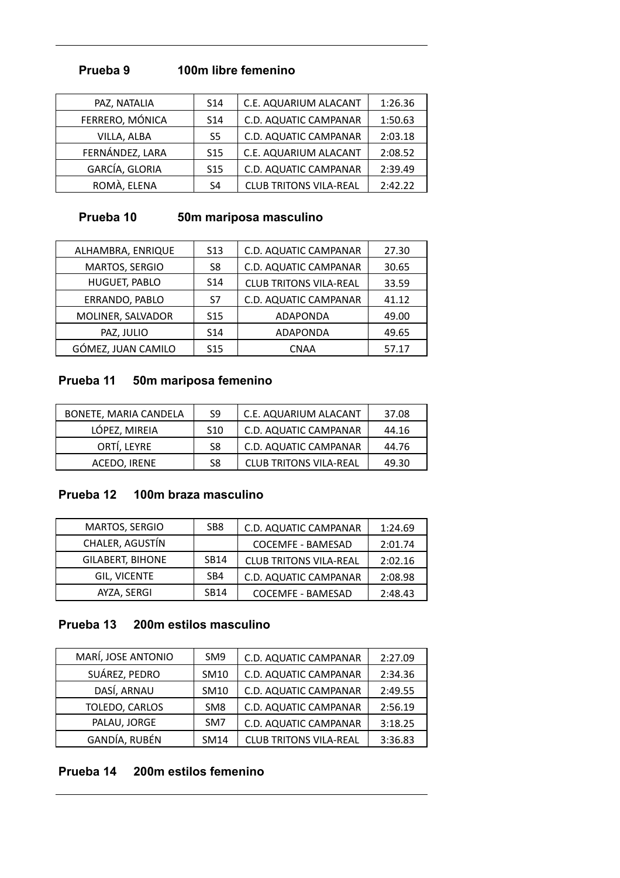### **Prueba 9 100m libre femenino**

| PAZ, NATALIA    | S <sub>14</sub> | C.E. AQUARIUM ALACANT         | 1:26.36 |
|-----------------|-----------------|-------------------------------|---------|
| FERRERO, MÓNICA | S <sub>14</sub> | C.D. AQUATIC CAMPANAR         | 1:50.63 |
| VILLA, ALBA     | S <sub>5</sub>  | C.D. AQUATIC CAMPANAR         | 2:03.18 |
| FERNÁNDEZ, LARA | S <sub>15</sub> | C.E. AQUARIUM ALACANT         | 2:08.52 |
| GARCÍA, GLORIA  | S <sub>15</sub> | C.D. AQUATIC CAMPANAR         | 2:39.49 |
| ROMÀ, ELENA     | S4              | <b>CLUB TRITONS VILA-REAL</b> | 2:42.22 |

## **Prueba 10 50m mariposa masculino**

| ALHAMBRA, ENRIQUE  | S <sub>13</sub> | C.D. AQUATIC CAMPANAR         | 27.30 |
|--------------------|-----------------|-------------------------------|-------|
| MARTOS, SERGIO     | S8              | C.D. AQUATIC CAMPANAR         | 30.65 |
| HUGUET, PABLO      | S <sub>14</sub> | <b>CLUB TRITONS VILA-REAL</b> | 33.59 |
| ERRANDO, PABLO     | S7              | C.D. AQUATIC CAMPANAR         | 41.12 |
| MOLINER, SALVADOR  | S <sub>15</sub> | <b>ADAPONDA</b>               | 49.00 |
| PAZ, JULIO         | S <sub>14</sub> | <b>ADAPONDA</b>               | 49.65 |
| GÓMEZ, JUAN CAMILO | S <sub>15</sub> | <b>CNAA</b>                   | 57.17 |

### **Prueba 11 50m mariposa femenino**

| BONETE, MARIA CANDELA | S9              | C.E. AQUARIUM ALACANT         | 37.08 |
|-----------------------|-----------------|-------------------------------|-------|
| LÓPEZ, MIREIA         | S <sub>10</sub> | C.D. AQUATIC CAMPANAR         | 44.16 |
| ORTÍ, LEYRE           | S8              | C.D. AQUATIC CAMPANAR         | 44.76 |
| ACEDO, IRENE          | S8              | <b>CLUB TRITONS VILA-REAL</b> | 49.30 |

### **Prueba 12 100m braza masculino**

| MARTOS, SERGIO          | SB <sub>8</sub> | C.D. AQUATIC CAMPANAR         | 1:24.69 |
|-------------------------|-----------------|-------------------------------|---------|
| CHALER, AGUSTÍN         |                 | <b>COCEMFE - BAMESAD</b>      | 2:01.74 |
| <b>GILABERT, BIHONE</b> | <b>SB14</b>     | <b>CLUB TRITONS VILA-REAL</b> | 2:02.16 |
| <b>GIL. VICENTE</b>     | SB4             | C.D. AQUATIC CAMPANAR         | 2:08.98 |
| AYZA, SERGI             | <b>SB14</b>     | <b>COCEMFE - BAMESAD</b>      | 2:48.43 |

### **Prueba 13 200m estilos masculino**

| MARÍ, JOSE ANTONIO | SM <sub>9</sub> | C.D. AQUATIC CAMPANAR         | 2:27.09 |
|--------------------|-----------------|-------------------------------|---------|
| SUÁREZ, PEDRO      | SM10            | C.D. AQUATIC CAMPANAR         | 2:34.36 |
| DASÍ, ARNAU        | SM10            | C.D. AQUATIC CAMPANAR         | 2:49.55 |
| TOLEDO, CARLOS     | SM <sub>8</sub> | C.D. AQUATIC CAMPANAR         | 2:56.19 |
| PALAU, JORGE       | SM <sub>7</sub> | C.D. AQUATIC CAMPANAR         | 3:18.25 |
| GANDÍA, RUBÉN      | SM14            | <b>CLUB TRITONS VILA-REAL</b> | 3:36.83 |

#### **Prueba 14 200m estilos femenino**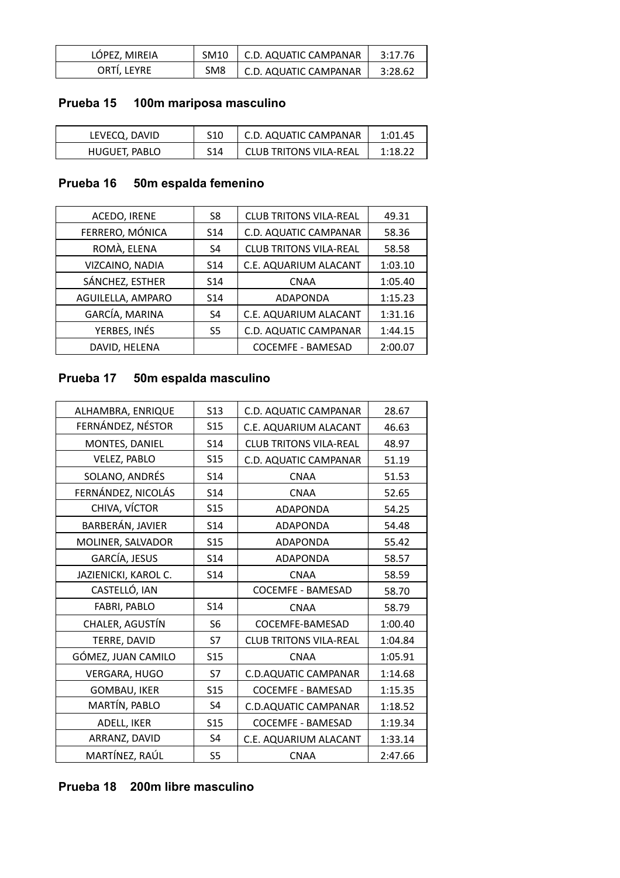| LÓPEZ, MIREIA |                 | SM10   C.D. AQUATIC CAMPANAR | 3:17.76 |
|---------------|-----------------|------------------------------|---------|
| ORTÍ, LEYRE   | SM <sub>8</sub> | C.D. AQUATIC CAMPANAR        | 3:28.62 |

# **Prueba 15 100m mariposa masculino**

| LEVECQ, DAVID | S10 | C.D. AQUATIC CAMPANAR         | 1:01.45 |
|---------------|-----|-------------------------------|---------|
| HUGUET, PABLO | S14 | <b>CLUB TRITONS VILA-REAL</b> | 1:18.22 |

## **Prueba 16 50m espalda femenino**

| ACEDO, IRENE      | S8              | <b>CLUB TRITONS VILA-REAL</b> | 49.31   |
|-------------------|-----------------|-------------------------------|---------|
| FERRERO, MÓNICA   | S <sub>14</sub> | C.D. AQUATIC CAMPANAR         | 58.36   |
| ROMÀ, ELENA       | S4              | <b>CLUB TRITONS VILA-REAL</b> | 58.58   |
| VIZCAINO, NADIA   | S <sub>14</sub> | C.E. AQUARIUM ALACANT         | 1:03.10 |
| SÁNCHEZ, ESTHER   | S <sub>14</sub> | <b>CNAA</b>                   | 1:05.40 |
| AGUILELLA, AMPARO | S <sub>14</sub> | <b>ADAPONDA</b>               | 1:15.23 |
| GARCÍA, MARINA    | S <sub>4</sub>  | C.E. AQUARIUM ALACANT         | 1:31.16 |
| YERBES, INÉS      | S5              | C.D. AQUATIC CAMPANAR         | 1:44.15 |
| DAVID, HELENA     |                 | <b>COCEMFE - BAMESAD</b>      | 2:00.07 |
|                   |                 |                               |         |

# **Prueba 17 50m espalda masculino**

| ALHAMBRA, ENRIQUE    | <b>S13</b>      | C.D. AQUATIC CAMPANAR         | 28.67   |
|----------------------|-----------------|-------------------------------|---------|
| FERNÁNDEZ, NÉSTOR    | <b>S15</b>      | C.E. AQUARIUM ALACANT         | 46.63   |
| MONTES, DANIEL       | S <sub>14</sub> | <b>CLUB TRITONS VILA-REAL</b> | 48.97   |
| <b>VELEZ, PABLO</b>  | <b>S15</b>      | C.D. AQUATIC CAMPANAR         | 51.19   |
| SOLANO, ANDRÉS       | <b>S14</b>      | <b>CNAA</b>                   | 51.53   |
| FERNÁNDEZ, NICOLÁS   | S <sub>14</sub> | <b>CNAA</b>                   | 52.65   |
| CHIVA, VÍCTOR        | <b>S15</b>      | <b>ADAPONDA</b>               | 54.25   |
| BARBERÁN, JAVIER     | S14             | <b>ADAPONDA</b>               | 54.48   |
| MOLINER, SALVADOR    | S <sub>15</sub> | <b>ADAPONDA</b>               | 55.42   |
| GARCÍA, JESUS        | S14             | <b>ADAPONDA</b>               | 58.57   |
| JAZIENICKI, KAROL C. | <b>S14</b>      | <b>CNAA</b>                   | 58.59   |
| CASTELLÓ, IAN        |                 | <b>COCEMFE - BAMESAD</b>      | 58.70   |
| FABRI, PABLO         | S14             | <b>CNAA</b>                   | 58.79   |
| CHALER, AGUSTÍN      | S <sub>6</sub>  | COCEMFE-BAMESAD               | 1:00.40 |
| TERRE, DAVID         | S7              | <b>CLUB TRITONS VILA-REAL</b> | 1:04.84 |
| GÓMEZ, JUAN CAMILO   | <b>S15</b>      | <b>CNAA</b>                   | 1:05.91 |
| <b>VERGARA, HUGO</b> | S7              | <b>C.D.AQUATIC CAMPANAR</b>   | 1:14.68 |
| <b>GOMBAU, IKER</b>  | <b>S15</b>      | <b>COCEMFE - BAMESAD</b>      | 1:15.35 |
| MARTÍN, PABLO        | S4              | <b>C.D.AQUATIC CAMPANAR</b>   | 1:18.52 |
| ADELL, IKER          | <b>S15</b>      | <b>COCEMFE - BAMESAD</b>      | 1:19.34 |
| ARRANZ, DAVID        | S4              | C.E. AQUARIUM ALACANT         | 1:33.14 |
| MARTÍNEZ, RAÚL       | S <sub>5</sub>  | <b>CNAA</b>                   | 2:47.66 |
|                      |                 |                               |         |

#### **Prueba 18 200m libre masculino**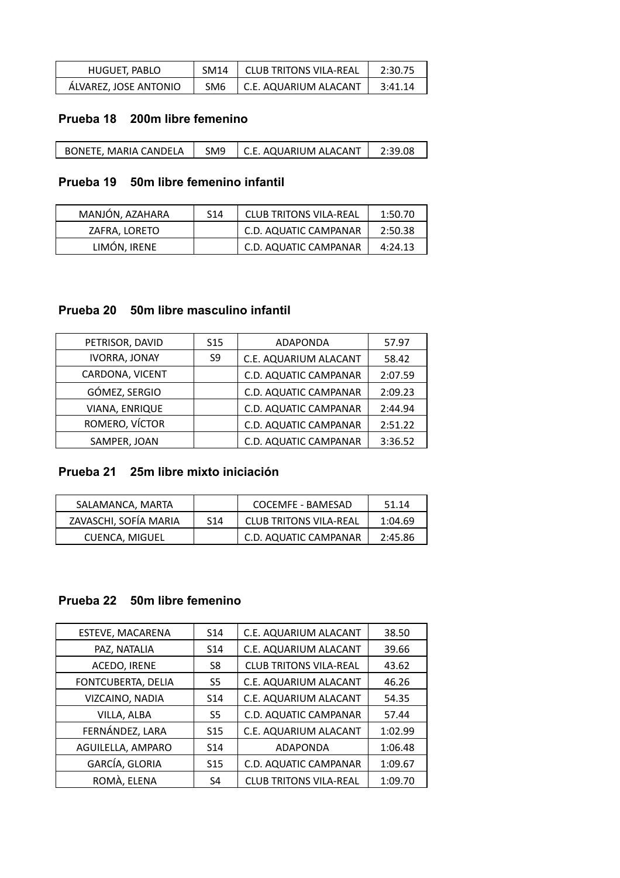| HUGUET, PABLO         | SM <sub>14</sub> | CLUB TRITONS VILA-REAL | 2:30.75 |
|-----------------------|------------------|------------------------|---------|
| ÁLVAREZ, JOSE ANTONIO | SM6              | C.E. AQUARIUM ALACANT  | 3:41.14 |

#### **Prueba 18 200m libre femenino**

| C.E. AQUARIUM ALACANT<br>BONETE, MARIA CANDELA<br>SM <sub>9</sub> |  |  |  | 2:39.08 |
|-------------------------------------------------------------------|--|--|--|---------|
|-------------------------------------------------------------------|--|--|--|---------|

### **Prueba 19 50m libre femenino infantil**

| MANJÓN, AZAHARA | S14 | <b>CLUB TRITONS VILA-REAL</b> | 1:50.70 |
|-----------------|-----|-------------------------------|---------|
| ZAFRA, LORETO   |     | <b>C.D. AQUATIC CAMPANAR</b>  | 2:50.38 |
| LIMÓN, IRENE    |     | <b>C.D. AQUATIC CAMPANAR</b>  | 4:24.13 |

#### **Prueba 20 50m libre masculino infantil**

| S <sub>15</sub> | <b>ADAPONDA</b>       | 57.97   |
|-----------------|-----------------------|---------|
| S9              | C.E. AQUARIUM ALACANT | 58.42   |
|                 | C.D. AQUATIC CAMPANAR | 2:07.59 |
|                 | C.D. AQUATIC CAMPANAR | 2:09.23 |
|                 | C.D. AQUATIC CAMPANAR | 2:44.94 |
|                 | C.D. AQUATIC CAMPANAR | 2:51.22 |
|                 | C.D. AQUATIC CAMPANAR | 3:36.52 |
|                 |                       |         |

## **Prueba 21 25m libre mixto iniciación**

| SALAMANCA, MARTA      |                 | COCEMFE - BAMESAD             | 51.14   |
|-----------------------|-----------------|-------------------------------|---------|
| ZAVASCHI, SOFÍA MARIA | S <sub>14</sub> | <b>CLUB TRITONS VILA-REAL</b> | 1:04.69 |
| <b>CUENCA, MIGUEL</b> |                 | C.D. AQUATIC CAMPANAR         | 2:45.86 |

#### **Prueba 22 50m libre femenino**

| S <sub>14</sub> | C.E. AQUARIUM ALACANT         | 38.50   |
|-----------------|-------------------------------|---------|
| S <sub>14</sub> | C.E. AQUARIUM ALACANT         | 39.66   |
| S8              | <b>CLUB TRITONS VILA-REAL</b> | 43.62   |
| S <sub>5</sub>  | C.E. AQUARIUM ALACANT         | 46.26   |
| S <sub>14</sub> | C.E. AQUARIUM ALACANT         | 54.35   |
| S5              | C.D. AQUATIC CAMPANAR         | 57.44   |
| S <sub>15</sub> | C.E. AQUARIUM ALACANT         | 1:02.99 |
| S <sub>14</sub> | <b>ADAPONDA</b>               | 1:06.48 |
| S <sub>15</sub> | C.D. AQUATIC CAMPANAR         | 1:09.67 |
| S <sub>4</sub>  | <b>CLUB TRITONS VILA-REAL</b> | 1:09.70 |
|                 |                               |         |